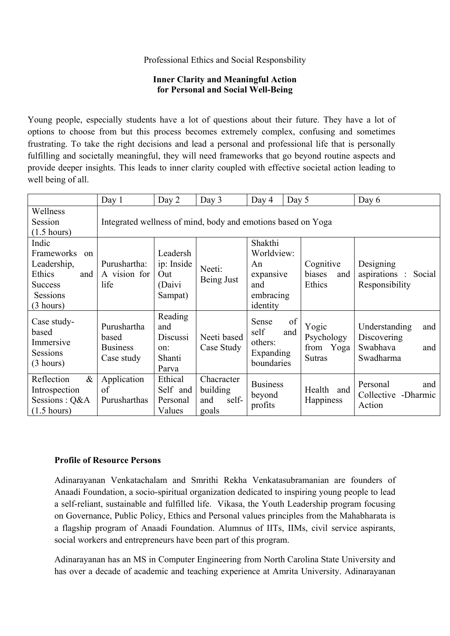## Professional Ethics and Social Responsbility

## **Inner Clarity and Meaningful Action for Personal and Social Well-Being**

Young people, especially students have a lot of questions about their future. They have a lot of options to choose from but this process becomes extremely complex, confusing and sometimes frustrating. To take the right decisions and lead a personal and professional life that is personally fulfilling and societally meaningful, they will need frameworks that go beyond routine aspects and provide deeper insights. This leads to inner clarity coupled with effective societal action leading to well being of all.

|                                                                                                             | Day $1$                                                      | Day 2                                                | Day 3                                           | Day 4                                                                    | Day 5                                                   | Day 6                                                               |
|-------------------------------------------------------------------------------------------------------------|--------------------------------------------------------------|------------------------------------------------------|-------------------------------------------------|--------------------------------------------------------------------------|---------------------------------------------------------|---------------------------------------------------------------------|
| Wellness<br>Session<br>$(1.5 \text{ hours})$                                                                | Integrated wellness of mind, body and emotions based on Yoga |                                                      |                                                 |                                                                          |                                                         |                                                                     |
| Indic<br>Frameworks<br>on<br>Leadership,<br>Ethics<br>and<br><b>Success</b><br><b>Sessions</b><br>(3 hours) | Purushartha:<br>A vision for<br>life                         | Leadersh<br>ip: Inside<br>Out<br>(Daivi<br>Sampat)   | Neeti:<br>Being Just                            | Shakthi<br>Worldview:<br>An<br>expansive<br>and<br>embracing<br>identity | Cognitive<br>biases<br>and<br>Ethics                    | Designing<br>aspirations :<br>Social<br>Responsibility              |
| Case study-<br>based<br>Immersive<br><b>Sessions</b><br>(3 hours)                                           | Purushartha<br>based<br><b>Business</b><br>Case study        | Reading<br>and<br>Discussi<br>On:<br>Shanti<br>Parva | Neeti based<br>Case Study                       | Sense<br>self<br>and<br>others:<br>Expanding<br>boundaries               | of<br>Yogic<br>Psychology<br>from Yoga<br><b>Sutras</b> | Understanding<br>and<br>Discovering<br>Swabhava<br>and<br>Swadharma |
| $\&$<br>Reflection<br>Introspection<br>Sessions : Q&A<br>$(1.5 \text{ hours})$                              | Application<br>of<br>Purusharthas                            | Ethical<br>Self and<br>Personal<br>Values            | Chacracter<br>building<br>self-<br>and<br>goals | <b>Business</b><br>beyond<br>profits                                     | Health<br>and<br>Happiness                              | Personal<br>and<br>Collective -Dharmic<br>Action                    |

## **Profile of Resource Persons**

Adinarayanan Venkatachalam and Smrithi Rekha Venkatasubramanian are founders of Anaadi Foundation, a socio-spiritual organization dedicated to inspiring young people to lead a self-reliant, sustainable and fulfilled life. Vikasa, the Youth Leadership program focusing on Governance, Public Policy, Ethics and Personal values principles from the Mahabharata is a flagship program of Anaadi Foundation. Alumnus of IITs, IIMs, civil service aspirants, social workers and entrepreneurs have been part of this program.

Adinarayanan has an MS in Computer Engineering from North Carolina State University and has over a decade of academic and teaching experience at Amrita University. Adinarayanan